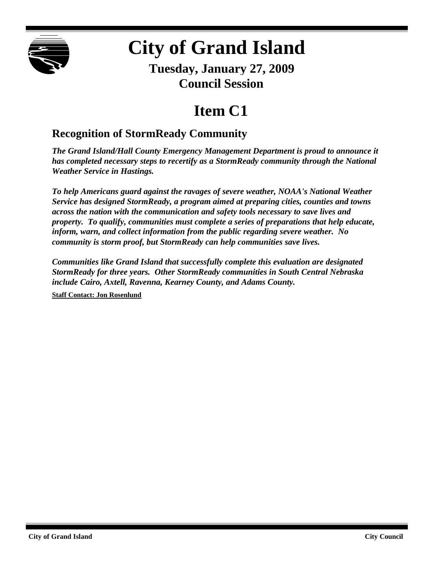

## **City of Grand Island**

**Tuesday, January 27, 2009 Council Session**

## **Item C1**

## **Recognition of StormReady Community**

*The Grand Island/Hall County Emergency Management Department is proud to announce it has completed necessary steps to recertify as a StormReady community through the National Weather Service in Hastings.*

*To help Americans guard against the ravages of severe weather, NOAA's National Weather Service has designed StormReady, a program aimed at preparing cities, counties and towns across the nation with the communication and safety tools necessary to save lives and property. To qualify, communities must complete a series of preparations that help educate, inform, warn, and collect information from the public regarding severe weather. No community is storm proof, but StormReady can help communities save lives.*

*Communities like Grand Island that successfully complete this evaluation are designated StormReady for three years. Other StormReady communities in South Central Nebraska include Cairo, Axtell, Ravenna, Kearney County, and Adams County.*

**Staff Contact: Jon Rosenlund**